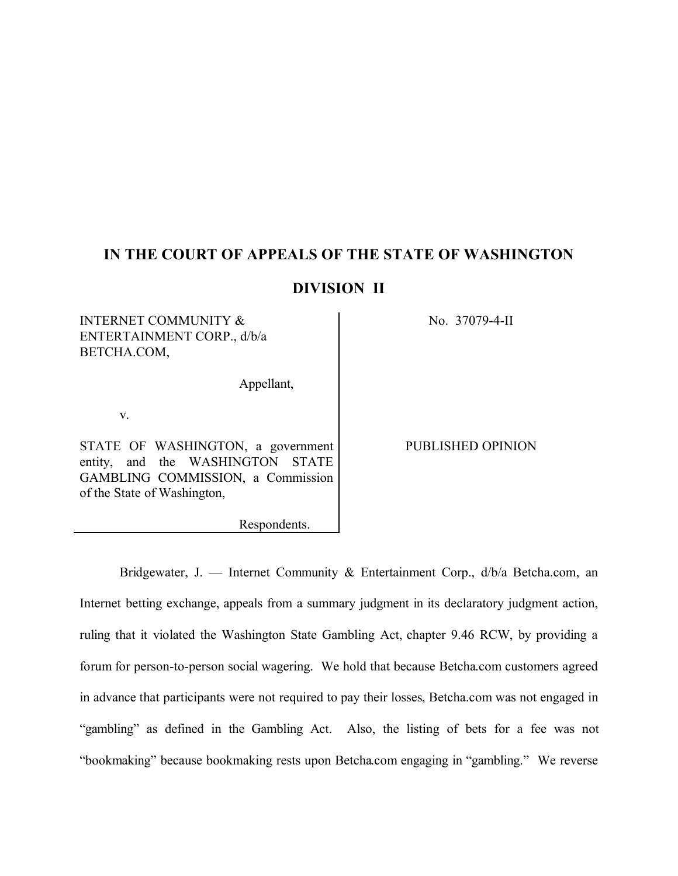# **IN THE COURT OF APPEALS OF THE STATE OF WASHINGTON**

# **DIVISION II**

# INTERNET COMMUNITY & ENTERTAINMENT CORP., d/b/a BETCHA.COM,

Appellant,

Respondents.

v.

STATE OF WASHINGTON, a government entity, and the WASHINGTON STATE GAMBLING COMMISSION, a Commission of the State of Washington,

No. 37079-4-II

PUBLISHED OPINION

Bridgewater, J. — Internet Community & Entertainment Corp., d/b/a Betcha.com, an Internet betting exchange, appeals from a summary judgment in its declaratory judgment action, ruling that it violated the Washington State Gambling Act, chapter 9.46 RCW, by providing a forum for person-to-person social wagering. We hold that because Betcha.com customers agreed in advance that participants were not required to pay their losses, Betcha.com was not engaged in "gambling" as defined in the Gambling Act. Also, the listing of bets for a fee was not "bookmaking" because bookmaking rests upon Betcha.com engaging in "gambling." We reverse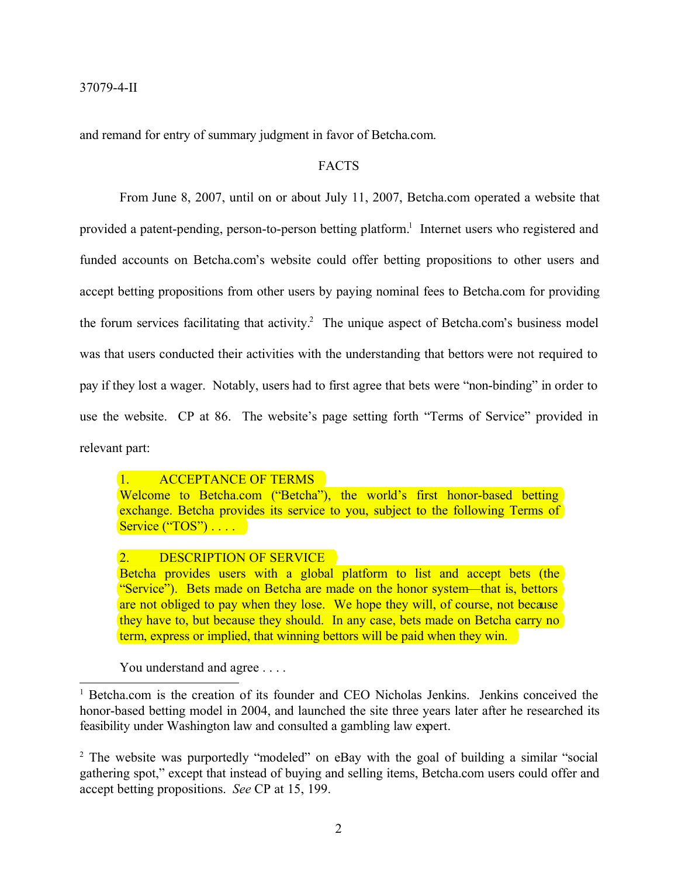and remand for entry of summary judgment in favor of Betcha.com.

### FACTS

From June 8, 2007, until on or about July 11, 2007, Betcha.com operated a website that provided a patent-pending, person-to-person betting platform.<sup>1</sup> Internet users who registered and funded accounts on Betcha.com's website could offer betting propositions to other users and accept betting propositions from other users by paying nominal fees to Betcha.com for providing the forum services facilitating that activity.<sup>2</sup> The unique aspect of Betcha.com's business model was that users conducted their activities with the understanding that bettors were not required to pay if they lost a wager. Notably, users had to first agree that bets were "non-binding" in order to use the website. CP at 86. The website's page setting forth "Terms of Service" provided in relevant part:

1. ACCEPTANCE OF TERMS

Welcome to Betcha.com ("Betcha"), the world's first honor-based betting exchange. Betcha provides its service to you, subject to the following Terms of Service ("TOS") . . . . . .

### 2. DESCRIPTION OF SERVICE

Betcha provides users with a global platform to list and accept bets (the "Service"). Bets made on Betcha are made on the honor system—that is, bettors are not obliged to pay when they lose. We hope they will, of course, not because they have to, but because they should. In any case, bets made on Betcha carry no term, express or implied, that winning bettors will be paid when they win.

You understand and agree . . . .

<sup>1</sup> Betcha.com is the creation of its founder and CEO Nicholas Jenkins. Jenkins conceived the honor-based betting model in 2004, and launched the site three years later after he researched its feasibility under Washington law and consulted a gambling law expert.

<sup>2</sup> The website was purportedly "modeled" on eBay with the goal of building a similar "social gathering spot," except that instead of buying and selling items, Betcha.com users could offer and accept betting propositions. *See* CP at 15, 199.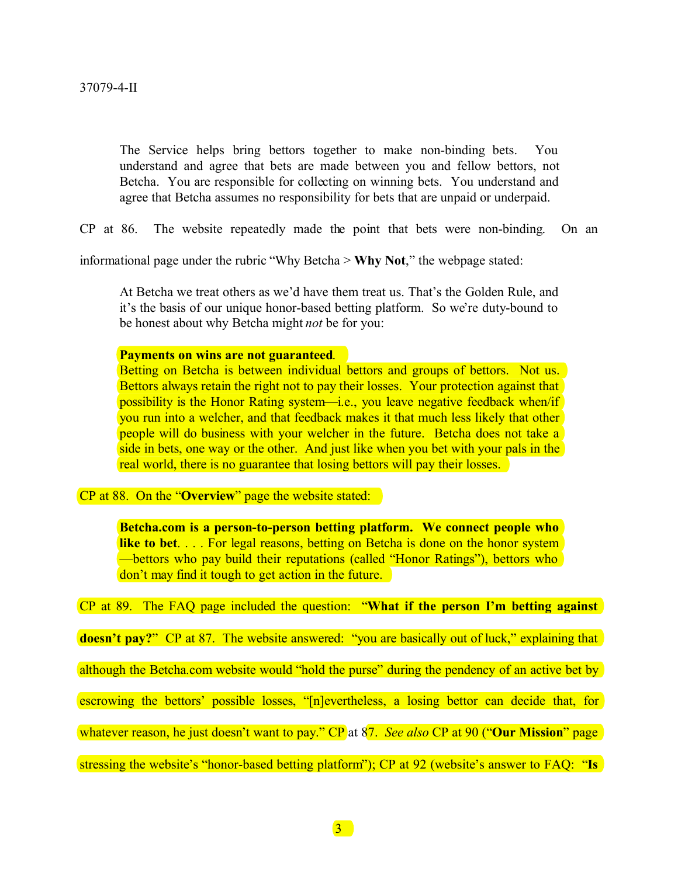The Service helps bring bettors together to make non-binding bets. You understand and agree that bets are made between you and fellow bettors, not Betcha. You are responsible for collecting on winning bets. You understand and agree that Betcha assumes no responsibility for bets that are unpaid or underpaid.

CP at 86. The website repeatedly made the point that bets were non-binding. On an

informational page under the rubric "Why Betcha > **Why Not**," the webpage stated:

At Betcha we treat others as we'd have them treat us. That's the Golden Rule, and it's the basis of our unique honor-based betting platform. So we're duty-bound to be honest about why Betcha might *not* be for you:

#### **Payments on wins are not guaranteed**.

Betting on Betcha is between individual bettors and groups of bettors. Not us. Bettors always retain the right not to pay their losses. Your protection against that possibility is the Honor Rating system—i.e., you leave negative feedback when/if you run into a welcher, and that feedback makes it that much less likely that other people will do business with your welcher in the future. Betcha does not take a side in bets, one way or the other. And just like when you bet with your pals in the real world, there is no guarantee that losing bettors will pay their losses.

CP at 88. On the "**Overview**" page the website stated:

**Betcha.com is a person-to-person betting platform. We connect people who like to bet.** . . . For legal reasons, betting on Betcha is done on the honor system —bettors who pay build their reputations (called "Honor Ratings"), bettors who don't may find it tough to get action in the future.

CP at 89. The FAQ page included the question: "**What if the person I'm betting against** 

**doesn't pay?**" CP at 87. The website answered: "you are basically out of luck," explaining that

although the Betcha.com website would "hold the purse" during the pendency of an active bet by

escrowing the bettors' possible losses, "[n]evertheless, a losing bettor can decide that, for

whatever reason, he just doesn't want to pay." CP at 87. *See also* CP at 90 ("Our Mission" page

stressing the website's "honor-based betting platform"); CP at 92 (website's answer to FAQ: "**Is**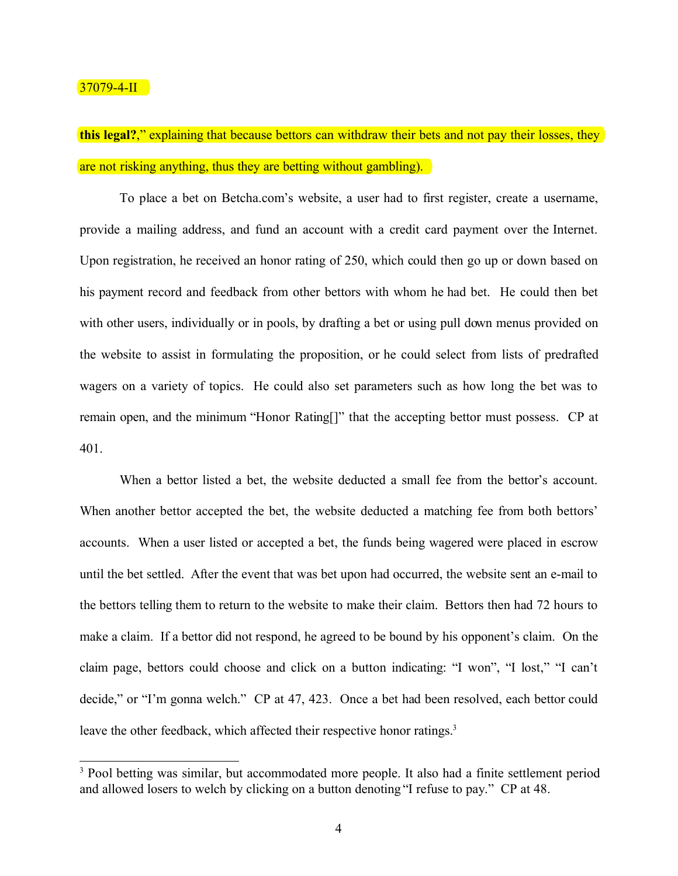### $37079 - 4 - II$

**this legal?**," explaining that because bettors can withdraw their bets and not pay their losses, they are not risking anything, thus they are betting without gambling).

To place a bet on Betcha.com's website, a user had to first register, create a username, provide a mailing address, and fund an account with a credit card payment over the Internet. Upon registration, he received an honor rating of 250, which could then go up or down based on his payment record and feedback from other bettors with whom he had bet. He could then bet with other users, individually or in pools, by drafting a bet or using pull down menus provided on the website to assist in formulating the proposition, or he could select from lists of predrafted wagers on a variety of topics. He could also set parameters such as how long the bet was to remain open, and the minimum "Honor Rating[]" that the accepting bettor must possess. CP at 401.

When a bettor listed a bet, the website deducted a small fee from the bettor's account. When another bettor accepted the bet, the website deducted a matching fee from both bettors' accounts. When a user listed or accepted a bet, the funds being wagered were placed in escrow until the bet settled. After the event that was bet upon had occurred, the website sent an e-mail to the bettors telling them to return to the website to make their claim. Bettors then had 72 hours to make a claim. If a bettor did not respond, he agreed to be bound by his opponent's claim. On the claim page, bettors could choose and click on a button indicating: "I won", "I lost," "I can't decide," or "I'm gonna welch." CP at 47, 423. Once a bet had been resolved, each bettor could leave the other feedback, which affected their respective honor ratings.<sup>3</sup>

<sup>&</sup>lt;sup>3</sup> Pool betting was similar, but accommodated more people. It also had a finite settlement period and allowed losers to welch by clicking on a button denoting "I refuse to pay." CP at 48.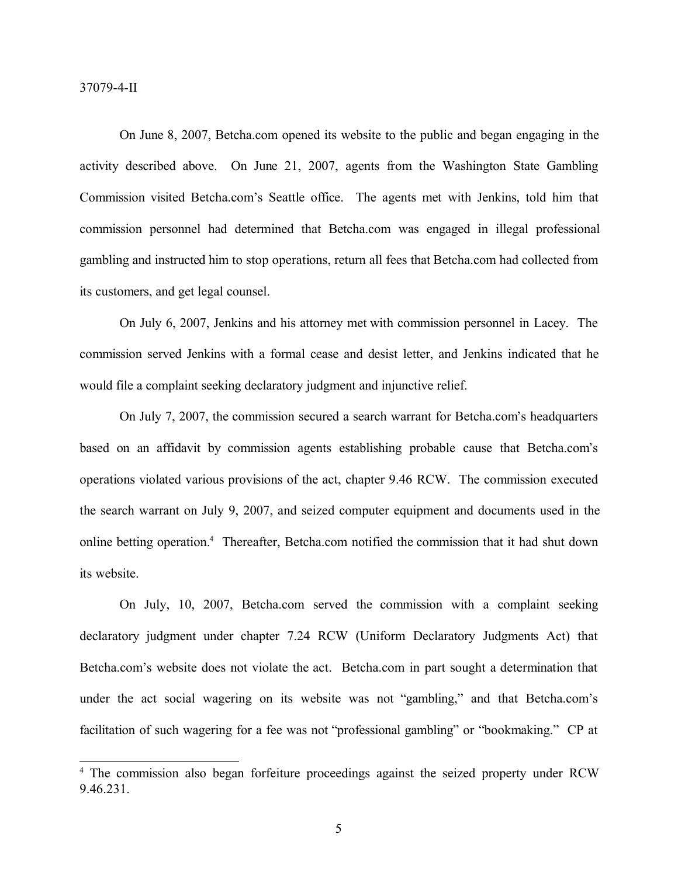37079-4-II

On June 8, 2007, Betcha.com opened its website to the public and began engaging in the activity described above. On June 21, 2007, agents from the Washington State Gambling Commission visited Betcha.com's Seattle office. The agents met with Jenkins, told him that commission personnel had determined that Betcha.com was engaged in illegal professional gambling and instructed him to stop operations, return all fees that Betcha.com had collected from its customers, and get legal counsel.

On July 6, 2007, Jenkins and his attorney met with commission personnel in Lacey. The commission served Jenkins with a formal cease and desist letter, and Jenkins indicated that he would file a complaint seeking declaratory judgment and injunctive relief.

On July 7, 2007, the commission secured a search warrant for Betcha.com's headquarters based on an affidavit by commission agents establishing probable cause that Betcha.com's operations violated various provisions of the act, chapter 9.46 RCW. The commission executed the search warrant on July 9, 2007, and seized computer equipment and documents used in the online betting operation.4 Thereafter, Betcha.com notified the commission that it had shut down its website.

On July, 10, 2007, Betcha.com served the commission with a complaint seeking declaratory judgment under chapter 7.24 RCW (Uniform Declaratory Judgments Act) that Betcha.com's website does not violate the act. Betcha.com in part sought a determination that under the act social wagering on its website was not "gambling," and that Betcha.com's facilitation of such wagering for a fee was not "professional gambling" or "bookmaking." CP at

<sup>&</sup>lt;sup>4</sup> The commission also began forfeiture proceedings against the seized property under RCW 9.46.231.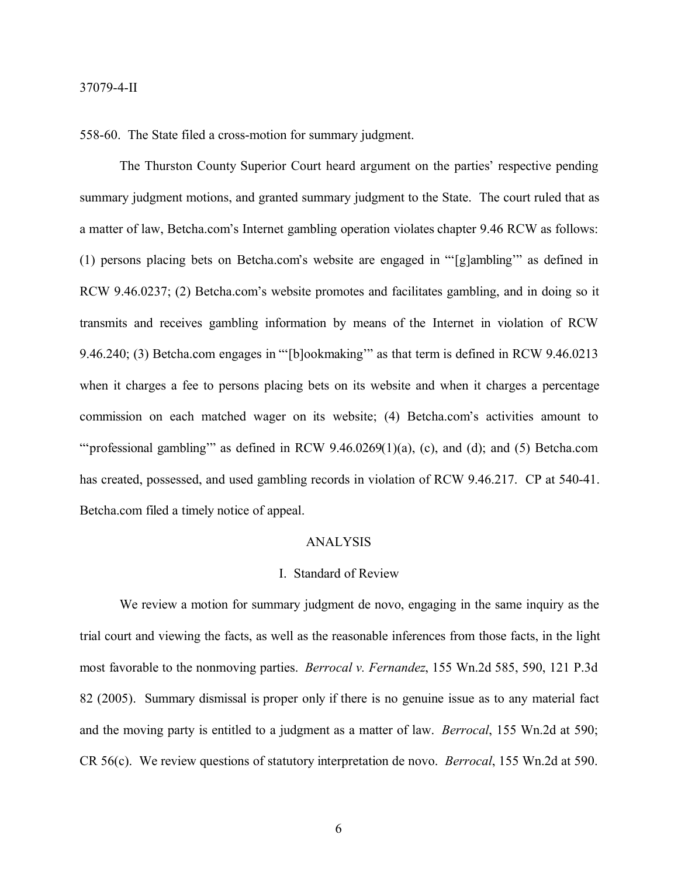558-60. The State filed a cross-motion for summary judgment.

The Thurston County Superior Court heard argument on the parties' respective pending summary judgment motions, and granted summary judgment to the State. The court ruled that as a matter of law, Betcha.com's Internet gambling operation violates chapter 9.46 RCW as follows: (1) persons placing bets on Betcha.com's website are engaged in "'[g]ambling'" as defined in RCW 9.46.0237; (2) Betcha.com's website promotes and facilitates gambling, and in doing so it transmits and receives gambling information by means of the Internet in violation of RCW 9.46.240; (3) Betcha.com engages in "'[b]ookmaking'" as that term is defined in RCW 9.46.0213 when it charges a fee to persons placing bets on its website and when it charges a percentage commission on each matched wager on its website; (4) Betcha.com's activities amount to "'professional gambling"" as defined in RCW  $9.46.0269(1)(a)$ , (c), and (d); and (5) Betcha.com has created, possessed, and used gambling records in violation of RCW 9.46.217. CP at 540-41. Betcha.com filed a timely notice of appeal.

### ANALYSIS

#### I. Standard of Review

We review a motion for summary judgment de novo, engaging in the same inquiry as the trial court and viewing the facts, as well as the reasonable inferences from those facts, in the light most favorable to the nonmoving parties. *Berrocal v. Fernandez*, 155 Wn.2d 585, 590, 121 P.3d 82 (2005). Summary dismissal is proper only if there is no genuine issue as to any material fact and the moving party is entitled to a judgment as a matter of law. *Berrocal*, 155 Wn.2d at 590; CR 56(c). We review questions of statutory interpretation de novo. *Berrocal*, 155 Wn.2d at 590.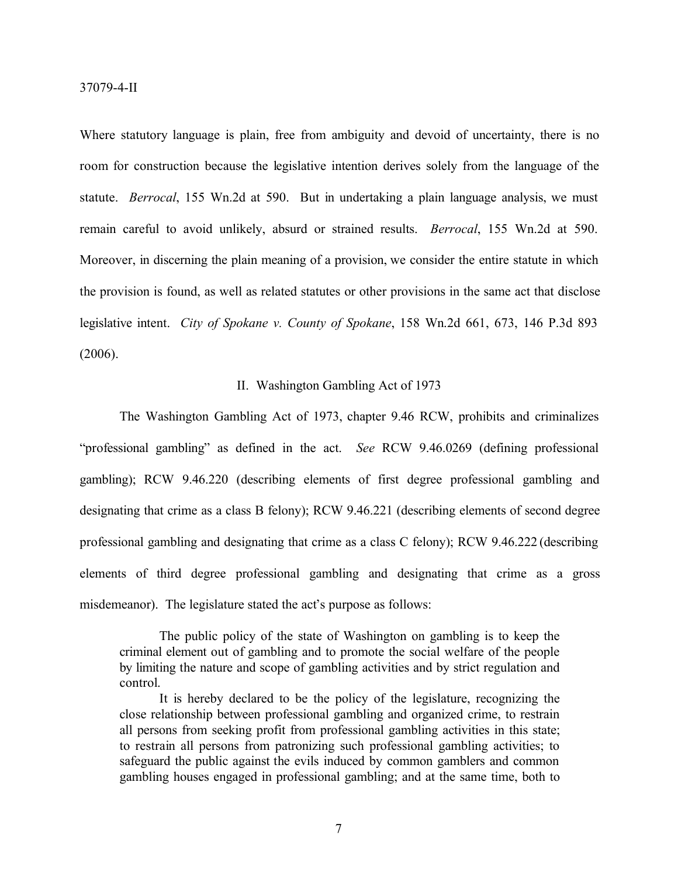Where statutory language is plain, free from ambiguity and devoid of uncertainty, there is no room for construction because the legislative intention derives solely from the language of the statute. *Berrocal*, 155 Wn.2d at 590. But in undertaking a plain language analysis, we must remain careful to avoid unlikely, absurd or strained results. *Berrocal*, 155 Wn.2d at 590. Moreover, in discerning the plain meaning of a provision, we consider the entire statute in which the provision is found, as well as related statutes or other provisions in the same act that disclose legislative intent. *City of Spokane v. County of Spokane*, 158 Wn.2d 661, 673, 146 P.3d 893 (2006).

#### II. Washington Gambling Act of 1973

The Washington Gambling Act of 1973, chapter 9.46 RCW, prohibits and criminalizes "professional gambling" as defined in the act. *See* RCW 9.46.0269 (defining professional gambling); RCW 9.46.220 (describing elements of first degree professional gambling and designating that crime as a class B felony); RCW 9.46.221 (describing elements of second degree professional gambling and designating that crime as a class C felony); RCW 9.46.222 (describing elements of third degree professional gambling and designating that crime as a gross misdemeanor). The legislature stated the act's purpose as follows:

The public policy of the state of Washington on gambling is to keep the criminal element out of gambling and to promote the social welfare of the people by limiting the nature and scope of gambling activities and by strict regulation and control.

It is hereby declared to be the policy of the legislature, recognizing the close relationship between professional gambling and organized crime, to restrain all persons from seeking profit from professional gambling activities in this state; to restrain all persons from patronizing such professional gambling activities; to safeguard the public against the evils induced by common gamblers and common gambling houses engaged in professional gambling; and at the same time, both to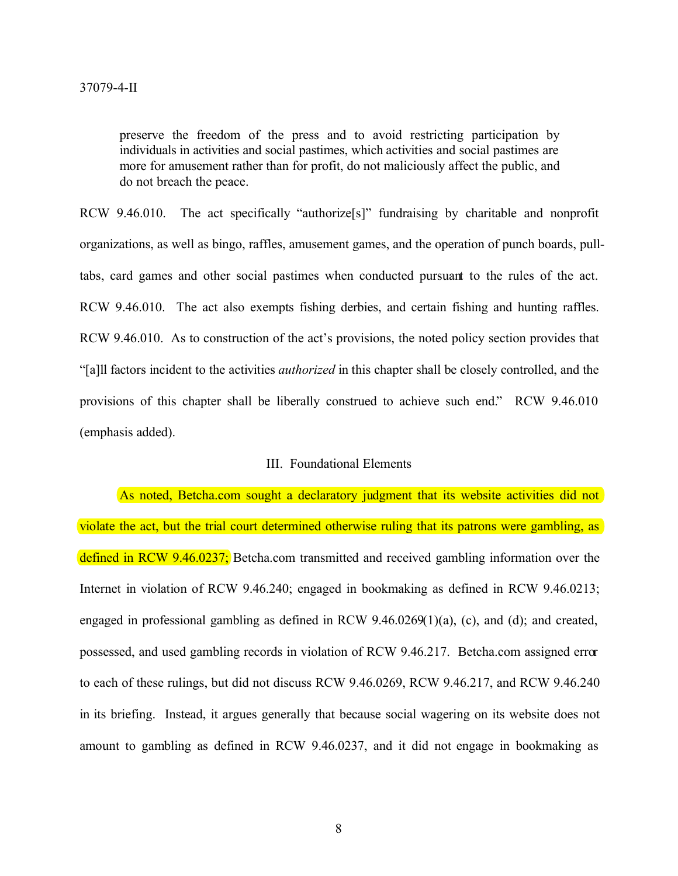preserve the freedom of the press and to avoid restricting participation by individuals in activities and social pastimes, which activities and social pastimes are more for amusement rather than for profit, do not maliciously affect the public, and do not breach the peace.

RCW 9.46.010. The act specifically "authorize[s]" fundraising by charitable and nonprofit organizations, as well as bingo, raffles, amusement games, and the operation of punch boards, pulltabs, card games and other social pastimes when conducted pursuant to the rules of the act. RCW 9.46.010. The act also exempts fishing derbies, and certain fishing and hunting raffles. RCW 9.46.010. As to construction of the act's provisions, the noted policy section provides that "[a]ll factors incident to the activities *authorized* in this chapter shall be closely controlled, and the provisions of this chapter shall be liberally construed to achieve such end." RCW 9.46.010 (emphasis added).

### III. Foundational Elements

As noted, Betcha.com sought a declaratory judgment that its website activities did not violate the act, but the trial court determined otherwise ruling that its patrons were gambling, as defined in RCW 9.46.0237; Betcha.com transmitted and received gambling information over the Internet in violation of RCW 9.46.240; engaged in bookmaking as defined in RCW 9.46.0213; engaged in professional gambling as defined in RCW 9.46.0269(1)(a), (c), and (d); and created, possessed, and used gambling records in violation of RCW 9.46.217. Betcha.com assigned error to each of these rulings, but did not discuss RCW 9.46.0269, RCW 9.46.217, and RCW 9.46.240 in its briefing. Instead, it argues generally that because social wagering on its website does not amount to gambling as defined in RCW 9.46.0237, and it did not engage in bookmaking as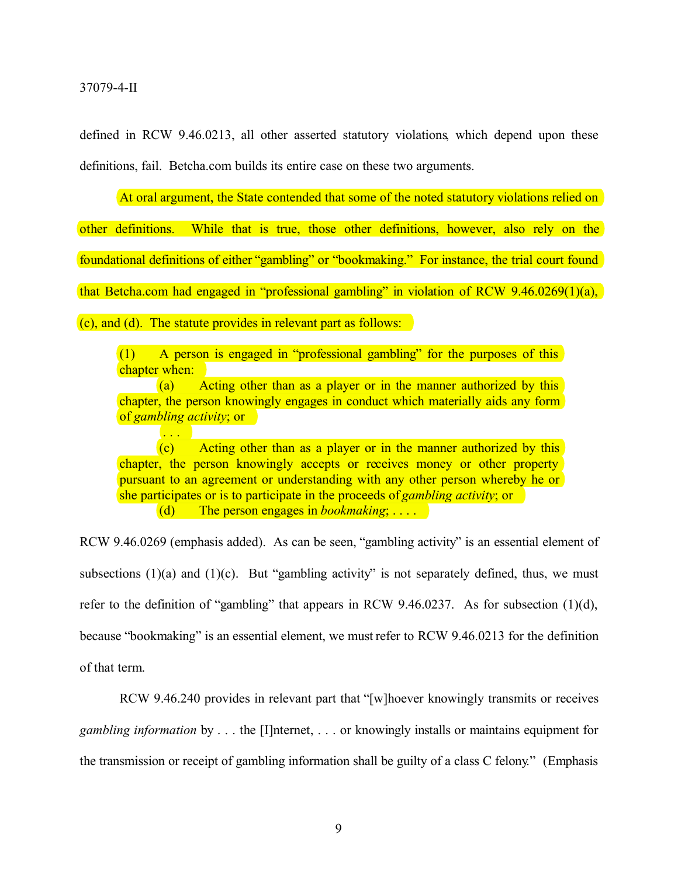37079-4-II

. . .

defined in RCW 9.46.0213, all other asserted statutory violations, which depend upon these definitions, fail. Betcha.com builds its entire case on these two arguments.

At oral argument, the State contended that some of the noted statutory violations relied on

other definitions. While that is true, those other definitions, however, also rely on the foundational definitions of either "gambling" or "bookmaking." For instance, the trial court found that Betcha.com had engaged in "professional gambling" in violation of RCW 9.46.0269(1)(a), (c), and (d). The statute provides in relevant part as follows:

(1) A person is engaged in "professional gambling" for the purposes of this chapter when:

(a) Acting other than as a player or in the manner authorized by this chapter, the person knowingly engages in conduct which materially aids any form of *gambling activity*; or

(c) Acting other than as a player or in the manner authorized by this chapter, the person knowingly accepts or receives money or other property pursuant to an agreement or understanding with any other person whereby he or she participates or is to participate in the proceeds of *gambling activity*; or (d) The person engages in *bookmaking*; . . . .

RCW 9.46.0269 (emphasis added). As can be seen, "gambling activity" is an essential element of subsections  $(1)(a)$  and  $(1)(c)$ . But "gambling activity" is not separately defined, thus, we must refer to the definition of "gambling" that appears in RCW 9.46.0237. As for subsection (1)(d), because "bookmaking" is an essential element, we must refer to RCW 9.46.0213 for the definition of that term.

RCW 9.46.240 provides in relevant part that "[w]hoever knowingly transmits or receives *gambling information* by . . . the [I]nternet, . . . or knowingly installs or maintains equipment for the transmission or receipt of gambling information shall be guilty of a class C felony." (Emphasis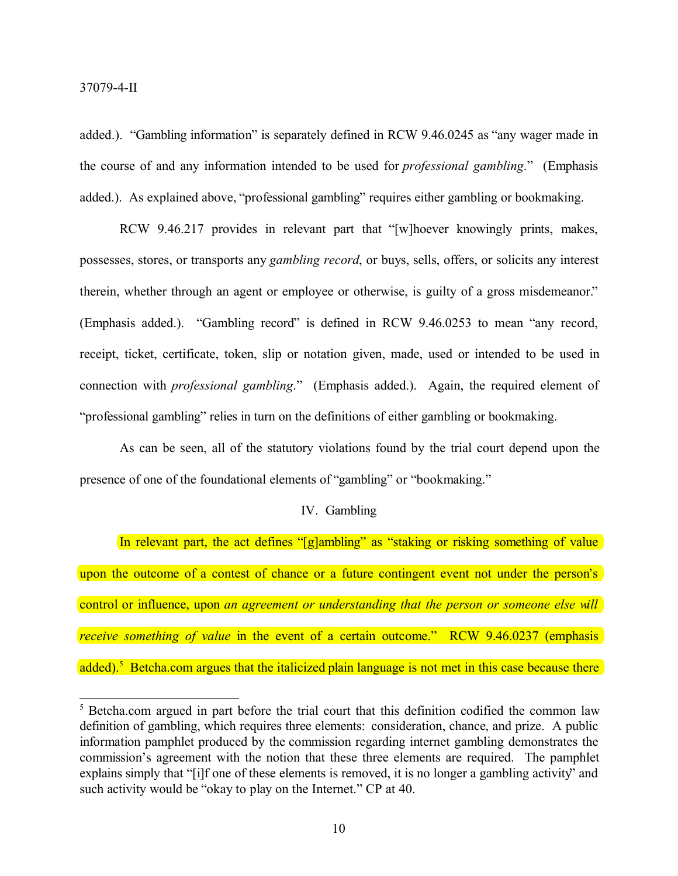added.). "Gambling information" is separately defined in RCW 9.46.0245 as "any wager made in the course of and any information intended to be used for *professional gambling*." (Emphasis added.). As explained above, "professional gambling" requires either gambling or bookmaking.

RCW 9.46.217 provides in relevant part that "[w]hoever knowingly prints, makes, possesses, stores, or transports any *gambling record*, or buys, sells, offers, or solicits any interest therein, whether through an agent or employee or otherwise, is guilty of a gross misdemeanor." (Emphasis added.). "Gambling record" is defined in RCW 9.46.0253 to mean "any record, receipt, ticket, certificate, token, slip or notation given, made, used or intended to be used in connection with *professional gambling*." (Emphasis added.). Again, the required element of "professional gambling" relies in turn on the definitions of either gambling or bookmaking.

As can be seen, all of the statutory violations found by the trial court depend upon the presence of one of the foundational elements of "gambling" or "bookmaking."

### IV. Gambling

In relevant part, the act defines "[g]ambling" as "staking or risking something of value upon the outcome of a contest of chance or a future contingent event not under the person's control or influence, upon *an agreement or understanding that the person or someone else will receive something of value* in the event of a certain outcome." RCW 9.46.0237 (emphasis added).<sup>5</sup> Betcha.com argues that the italicized plain language is not met in this case because there

<sup>5</sup> Betcha.com argued in part before the trial court that this definition codified the common law definition of gambling, which requires three elements: consideration, chance, and prize. A public information pamphlet produced by the commission regarding internet gambling demonstrates the commission's agreement with the notion that these three elements are required. The pamphlet explains simply that "[i]f one of these elements is removed, it is no longer a gambling activity" and such activity would be "okay to play on the Internet." CP at 40.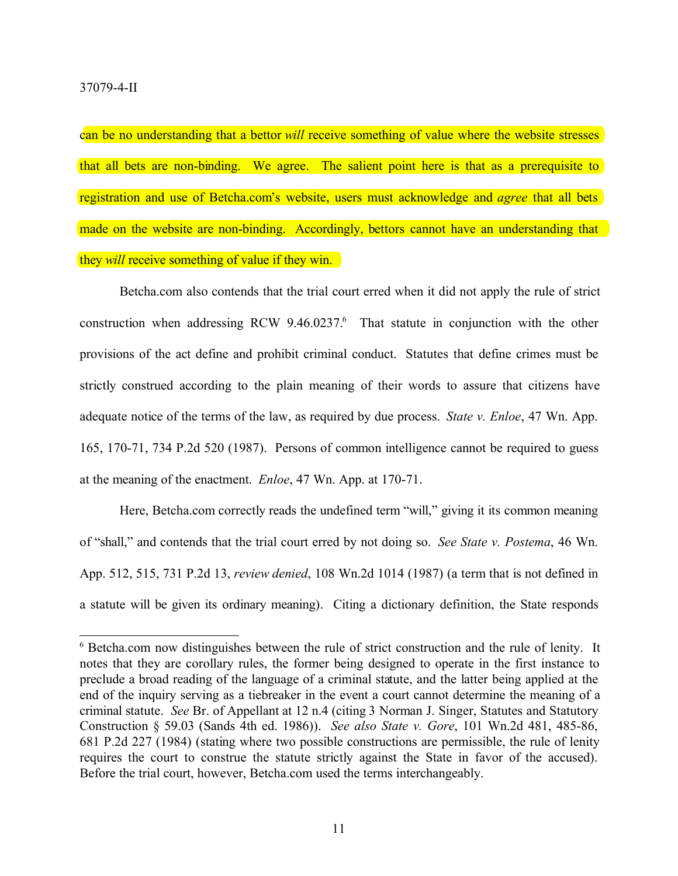can be no understanding that a bettor *will* receive something of value where the website stresses that all bets are non-binding. We agree. The salient point here is that as a prerequisite to registration and use of Betcha.com's website, users must acknowledge and *agree* that all bets made on the website are non-binding. Accordingly, bettors cannot have an understanding that they *will* receive something of value if they win.

Betcha.com also contends that the trial court erred when it did not apply the rule of strict construction when addressing RCW 9.46.0237.<sup>6</sup> That statute in conjunction with the other provisions of the act define and prohibit criminal conduct. Statutes that define crimes must be strictly construed according to the plain meaning of their words to assure that citizens have adequate notice of the terms of the law, as required by due process. *State v. Enloe*, 47 Wn. App. 165, 170-71, 734 P.2d 520 (1987). Persons of common intelligence cannot be required to guess at the meaning of the enactment. *Enloe*, 47 Wn. App. at 170-71.

Here, Betcha.com correctly reads the undefined term "will," giving it its common meaning of "shall," and contends that the trial court erred by not doing so. *See State v. Postema*, 46 Wn. App. 512, 515, 731 P.2d 13, *review denied*, 108 Wn.2d 1014 (1987) (a term that is not defined in a statute will be given its ordinary meaning). Citing a dictionary definition, the State responds

<sup>6</sup> Betcha.com now distinguishes between the rule of strict construction and the rule of lenity. It notes that they are corollary rules, the former being designed to operate in the first instance to preclude a broad reading of the language of a criminal statute, and the latter being applied at the end of the inquiry serving as a tiebreaker in the event a court cannot determine the meaning of a criminal statute. *See* Br. of Appellant at 12 n.4 (citing 3 Norman J. Singer, Statutes and Statutory Construction § 59.03 (Sands 4th ed. 1986)). *See also State v. Gore*, 101 Wn.2d 481, 485-86, 681 P.2d 227 (1984) (stating where two possible constructions are permissible, the rule of lenity requires the court to construe the statute strictly against the State in favor of the accused). Before the trial court, however, Betcha.com used the terms interchangeably.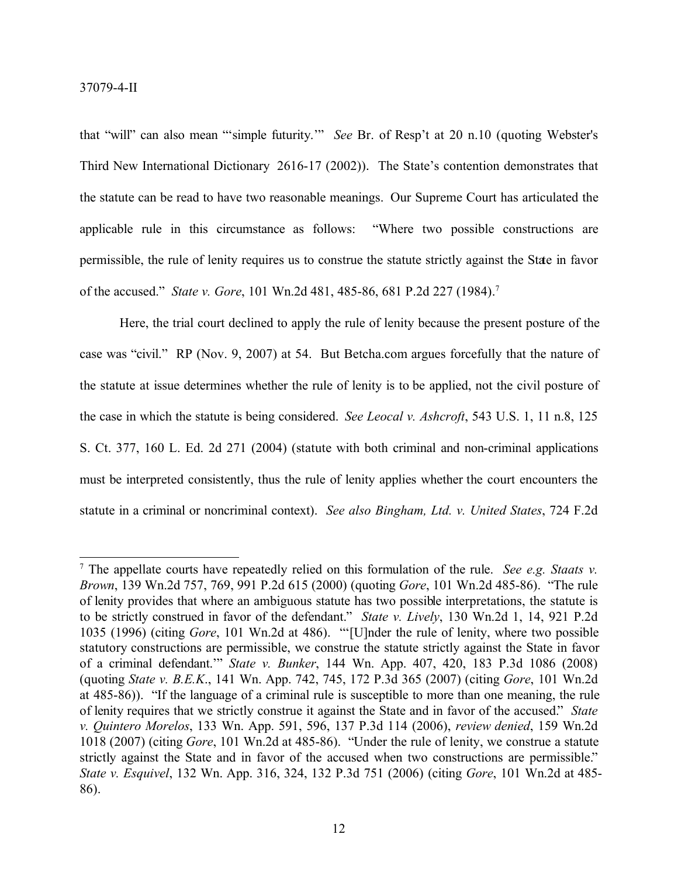that "will" can also mean "'simple futurity.'" *See* Br. of Resp't at 20 n.10 (quoting Webster's Third New International Dictionary 2616-17 (2002)). The State's contention demonstrates that the statute can be read to have two reasonable meanings. Our Supreme Court has articulated the applicable rule in this circumstance as follows: "Where two possible constructions are permissible, the rule of lenity requires us to construe the statute strictly against the State in favor of the accused." *State v. Gore*, 101 Wn.2d 481, 485-86, 681 P.2d 227 (1984). 7

Here, the trial court declined to apply the rule of lenity because the present posture of the case was "civil." RP (Nov. 9, 2007) at 54. But Betcha.com argues forcefully that the nature of the statute at issue determines whether the rule of lenity is to be applied, not the civil posture of the case in which the statute is being considered. *See Leocal v. Ashcroft*, 543 U.S. 1, 11 n.8, 125 S. Ct. 377, 160 L. Ed. 2d 271 (2004) (statute with both criminal and non-criminal applications must be interpreted consistently, thus the rule of lenity applies whether the court encounters the statute in a criminal or noncriminal context). *See also Bingham, Ltd. v. United States*, 724 F.2d

<sup>7</sup> The appellate courts have repeatedly relied on this formulation of the rule. *See e.g. Staats v. Brown*, 139 Wn.2d 757, 769, 991 P.2d 615 (2000) (quoting *Gore*, 101 Wn.2d 485-86). "The rule of lenity provides that where an ambiguous statute has two possible interpretations, the statute is to be strictly construed in favor of the defendant." *State v. Lively*, 130 Wn.2d 1, 14, 921 P.2d 1035 (1996) (citing *Gore*, 101 Wn.2d at 486). "'[U]nder the rule of lenity, where two possible statutory constructions are permissible, we construe the statute strictly against the State in favor of a criminal defendant.'" *State v. Bunker*, 144 Wn. App. 407, 420, 183 P.3d 1086 (2008) (quoting *State v. B.E.K*., 141 Wn. App. 742, 745, 172 P.3d 365 (2007) (citing *Gore*, 101 Wn.2d at 485-86)). "If the language of a criminal rule is susceptible to more than one meaning, the rule of lenity requires that we strictly construe it against the State and in favor of the accused." *State v. Quintero Morelos*, 133 Wn. App. 591, 596, 137 P.3d 114 (2006), *review denied*, 159 Wn.2d 1018 (2007) (citing *Gore*, 101 Wn.2d at 485-86). "Under the rule of lenity, we construe a statute strictly against the State and in favor of the accused when two constructions are permissible." *State v. Esquivel*, 132 Wn. App. 316, 324, 132 P.3d 751 (2006) (citing *Gore*, 101 Wn.2d at 485- 86).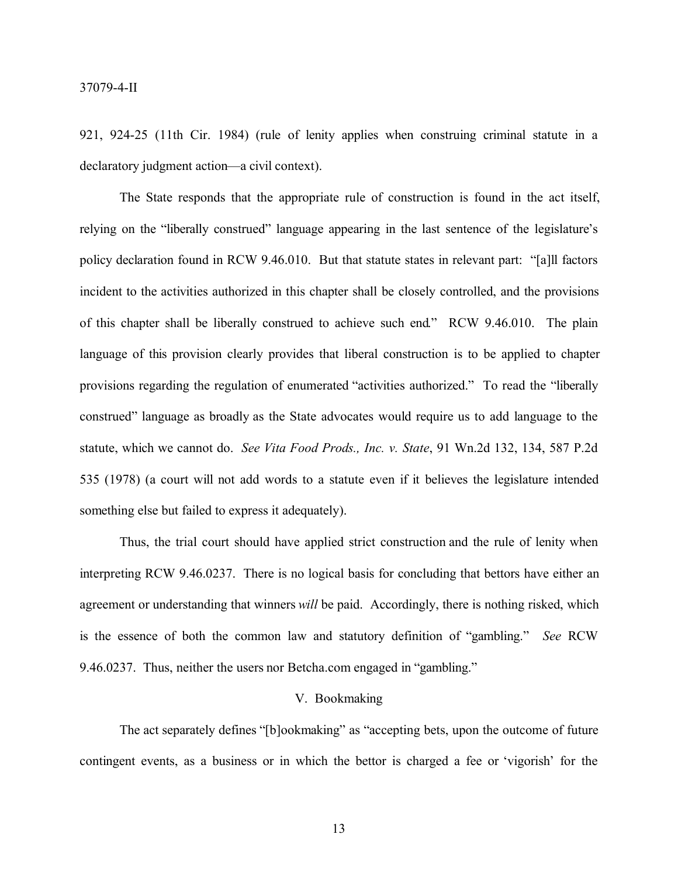921, 924-25 (11th Cir. 1984) (rule of lenity applies when construing criminal statute in a declaratory judgment action—a civil context).

The State responds that the appropriate rule of construction is found in the act itself, relying on the "liberally construed" language appearing in the last sentence of the legislature's policy declaration found in RCW 9.46.010. But that statute states in relevant part: "[a]ll factors incident to the activities authorized in this chapter shall be closely controlled, and the provisions of this chapter shall be liberally construed to achieve such end." RCW 9.46.010. The plain language of this provision clearly provides that liberal construction is to be applied to chapter provisions regarding the regulation of enumerated "activities authorized." To read the "liberally construed" language as broadly as the State advocates would require us to add language to the statute, which we cannot do. *See Vita Food Prods., Inc. v. State*, 91 Wn.2d 132, 134, 587 P.2d 535 (1978) (a court will not add words to a statute even if it believes the legislature intended something else but failed to express it adequately).

Thus, the trial court should have applied strict construction and the rule of lenity when interpreting RCW 9.46.0237. There is no logical basis for concluding that bettors have either an agreement or understanding that winners *will* be paid. Accordingly, there is nothing risked, which is the essence of both the common law and statutory definition of "gambling." *See* RCW 9.46.0237. Thus, neither the users nor Betcha.com engaged in "gambling."

#### V. Bookmaking

The act separately defines "[b]ookmaking" as "accepting bets, upon the outcome of future contingent events, as a business or in which the bettor is charged a fee or 'vigorish' for the

13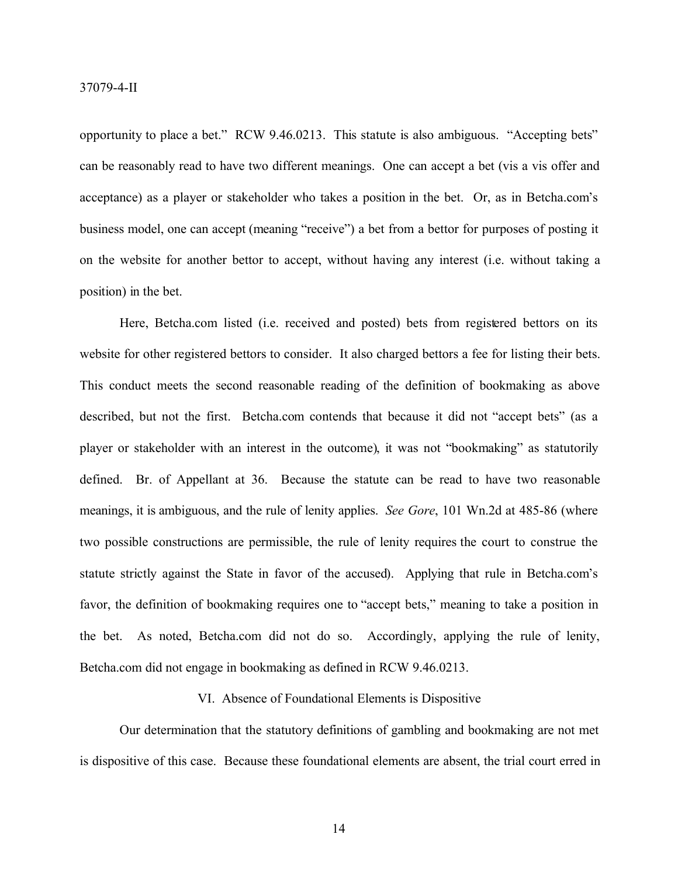opportunity to place a bet." RCW 9.46.0213. This statute is also ambiguous. "Accepting bets" can be reasonably read to have two different meanings. One can accept a bet (vis a vis offer and acceptance) as a player or stakeholder who takes a position in the bet. Or, as in Betcha.com's business model, one can accept (meaning "receive") a bet from a bettor for purposes of posting it on the website for another bettor to accept, without having any interest (i.e. without taking a position) in the bet.

Here, Betcha.com listed (i.e. received and posted) bets from registered bettors on its website for other registered bettors to consider. It also charged bettors a fee for listing their bets. This conduct meets the second reasonable reading of the definition of bookmaking as above described, but not the first. Betcha.com contends that because it did not "accept bets" (as a player or stakeholder with an interest in the outcome), it was not "bookmaking" as statutorily defined. Br. of Appellant at 36. Because the statute can be read to have two reasonable meanings, it is ambiguous, and the rule of lenity applies. *See Gore*, 101 Wn.2d at 485-86 (where two possible constructions are permissible, the rule of lenity requires the court to construe the statute strictly against the State in favor of the accused). Applying that rule in Betcha.com's favor, the definition of bookmaking requires one to "accept bets," meaning to take a position in the bet. As noted, Betcha.com did not do so. Accordingly, applying the rule of lenity, Betcha.com did not engage in bookmaking as defined in RCW 9.46.0213.

### VI. Absence of Foundational Elements is Dispositive

Our determination that the statutory definitions of gambling and bookmaking are not met is dispositive of this case. Because these foundational elements are absent, the trial court erred in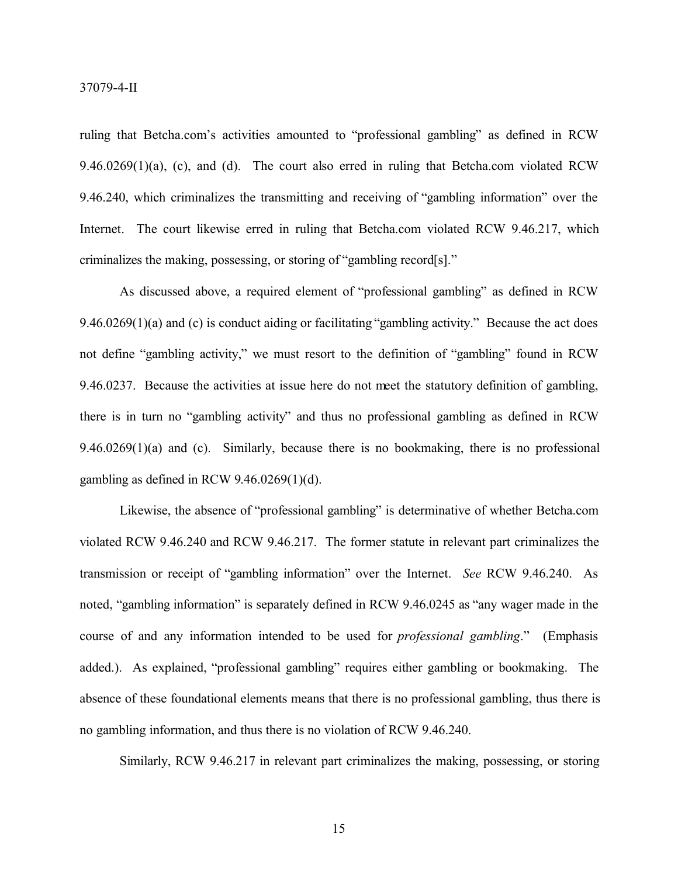ruling that Betcha.com's activities amounted to "professional gambling" as defined in RCW 9.46.0269(1)(a), (c), and (d). The court also erred in ruling that Betcha.com violated RCW 9.46.240, which criminalizes the transmitting and receiving of "gambling information" over the Internet. The court likewise erred in ruling that Betcha.com violated RCW 9.46.217, which criminalizes the making, possessing, or storing of "gambling record[s]."

As discussed above, a required element of "professional gambling" as defined in RCW 9.46.0269(1)(a) and (c) is conduct aiding or facilitating "gambling activity." Because the act does not define "gambling activity," we must resort to the definition of "gambling" found in RCW 9.46.0237. Because the activities at issue here do not meet the statutory definition of gambling, there is in turn no "gambling activity" and thus no professional gambling as defined in RCW 9.46.0269(1)(a) and (c). Similarly, because there is no bookmaking, there is no professional gambling as defined in RCW 9.46.0269(1)(d).

Likewise, the absence of "professional gambling" is determinative of whether Betcha.com violated RCW 9.46.240 and RCW 9.46.217. The former statute in relevant part criminalizes the transmission or receipt of "gambling information" over the Internet. *See* RCW 9.46.240. As noted, "gambling information" is separately defined in RCW 9.46.0245 as "any wager made in the course of and any information intended to be used for *professional gambling*." (Emphasis added.). As explained, "professional gambling" requires either gambling or bookmaking. The absence of these foundational elements means that there is no professional gambling, thus there is no gambling information, and thus there is no violation of RCW 9.46.240.

Similarly, RCW 9.46.217 in relevant part criminalizes the making, possessing, or storing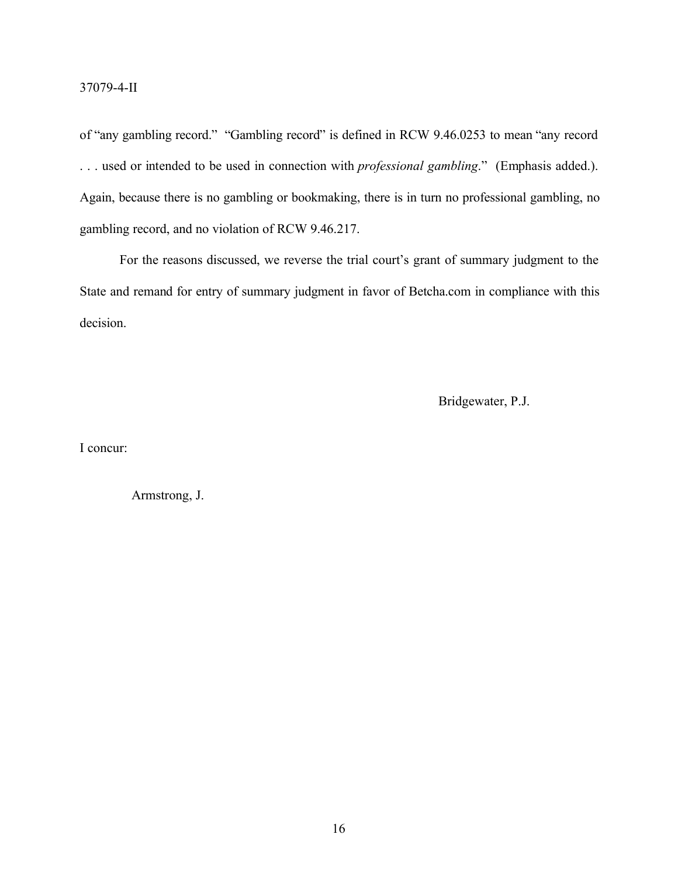of "any gambling record." "Gambling record" is defined in RCW 9.46.0253 to mean "any record . . . used or intended to be used in connection with *professional gambling*." (Emphasis added.). Again, because there is no gambling or bookmaking, there is in turn no professional gambling, no gambling record, and no violation of RCW 9.46.217.

For the reasons discussed, we reverse the trial court's grant of summary judgment to the State and remand for entry of summary judgment in favor of Betcha.com in compliance with this decision.

Bridgewater, P.J.

I concur:

Armstrong, J.